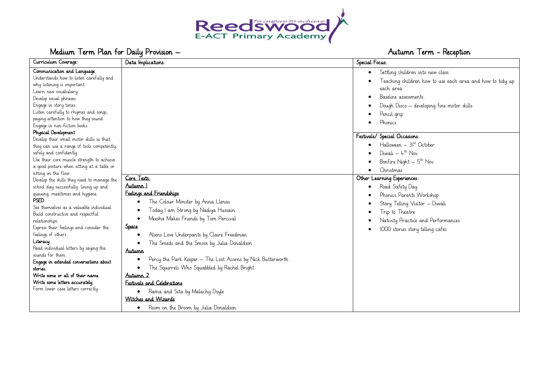

# Medium Term Plan for Daily Provision – Autumn Term - Reception

| Curriculum Coverage:<br>Communication and Language<br>Understands how to listen carefully and<br>why listening is important.<br>Learn new vocabulary.<br>Develop social phrases.<br>Engage in story times.<br>Listen carefully to rhymes and songs,<br>paying attention to how they sound.<br>Engage in non-fiction books.<br>Physical Development<br>Develop their small motor skills so that<br>they can use a range of tools competently,<br>safely and confidently. | Data Implications:                                                                                                                                                                                                                                                                                                                                                                                                                                                                    | Special Focus:<br>Settling children into new class.<br>Teaching children how to use each area and how to tidy up<br>each area.<br>Baseline assessments<br>Dough Disco - developing fine motor skills<br>Pencil grip<br>Phonics<br>Festivals/ Special Occasions:<br>$Halloween - 3Ist October$<br>Diwali $ +$ <sup>th</sup> Nov |
|-------------------------------------------------------------------------------------------------------------------------------------------------------------------------------------------------------------------------------------------------------------------------------------------------------------------------------------------------------------------------------------------------------------------------------------------------------------------------|---------------------------------------------------------------------------------------------------------------------------------------------------------------------------------------------------------------------------------------------------------------------------------------------------------------------------------------------------------------------------------------------------------------------------------------------------------------------------------------|--------------------------------------------------------------------------------------------------------------------------------------------------------------------------------------------------------------------------------------------------------------------------------------------------------------------------------|
| Use their core muscle strength to achieve                                                                                                                                                                                                                                                                                                                                                                                                                               |                                                                                                                                                                                                                                                                                                                                                                                                                                                                                       | Bonfire Night $-5^{th}$ Nov                                                                                                                                                                                                                                                                                                    |
| a good posture when sitting at a table or                                                                                                                                                                                                                                                                                                                                                                                                                               |                                                                                                                                                                                                                                                                                                                                                                                                                                                                                       | Christmas                                                                                                                                                                                                                                                                                                                      |
| sitting on the floor.                                                                                                                                                                                                                                                                                                                                                                                                                                                   | Core Texts:                                                                                                                                                                                                                                                                                                                                                                                                                                                                           | Other Learning Experiences:                                                                                                                                                                                                                                                                                                    |
| Develop the skills they need to manage the<br>school day successfully: lining up and                                                                                                                                                                                                                                                                                                                                                                                    | Autumn I                                                                                                                                                                                                                                                                                                                                                                                                                                                                              | Road Safety Day                                                                                                                                                                                                                                                                                                                |
| queuing, mealtimes and hygiene.<br><b>PSED</b><br>See themselves as a valuable individual.<br>Build constructive and respectful<br>relationships.<br>Express their feelings and consider the<br>feelings of others.<br>Literacy<br>Read individual letters by saying the<br>sounds for them.<br>Engage in extended conversations about<br>stories.<br>Write some or all of their name.<br>Write some letters accurately.<br>Form lower case letters correctly.          | Feelings and Friendships<br>The Colour Monster by Anna Llenas<br>Today I am Strong by Nadiya Hussain<br>Meesha Makes Friends by Tom Percival<br><b>Space</b><br>Aliens Love Underpants by Claire Freedman<br>The Smeds and the Smoos by Julia Donaldson<br>Autumn<br>Percy the Park Keeper - The Lost Acorns by Nick Butterworth<br>The Squirrels Who Squabbled by Rachel Bright<br>Autumn 2<br>Festivals and Celebrations<br>• Rama and Sita by Malachy Doyle<br>Witches and Wizards | Phonics Parents Workshop<br>Story Telling Visitor - Diwali<br>Trip to Theatre<br>Nativity Practice and Performances<br>1000 stories story telling cafes                                                                                                                                                                        |
|                                                                                                                                                                                                                                                                                                                                                                                                                                                                         | Room on the Broom by Julia Donaldson<br>$\bullet$                                                                                                                                                                                                                                                                                                                                                                                                                                     |                                                                                                                                                                                                                                                                                                                                |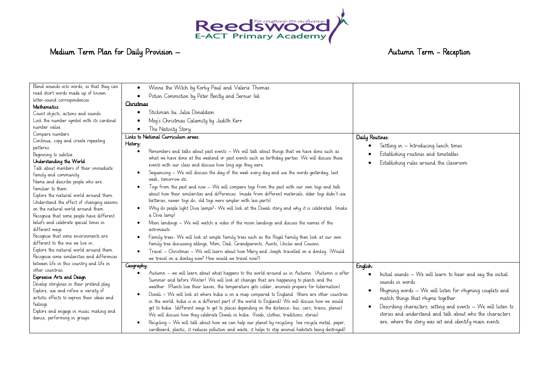

# Medium Term Plan for Daily Provision – Autumn Term - Reception

| Blend wounds into words, so that they can   |                                                                                                                |                                                               |
|---------------------------------------------|----------------------------------------------------------------------------------------------------------------|---------------------------------------------------------------|
| read short words made up of known           | Winne the Witch by Korky Paul and Valerie Thomas<br>$\bullet$                                                  |                                                               |
| letter-sound correspondences.               | Potion Commotion by Peter Bently and Sernur Isik                                                               |                                                               |
| <b>Mathematics</b>                          | Christmas                                                                                                      |                                                               |
| Count objects, actions and sounds.          | Stickman bu Julia Donaldson<br>٠                                                                               |                                                               |
| Link the number symbol with its cardinal    | Moq's Christmas Calamity by Judith Kerr                                                                        |                                                               |
| number value.                               | The Nativity Story                                                                                             |                                                               |
| Compare numbers.                            | Links to National Curriculum areas:                                                                            | Daily Routines:                                               |
| Continue, copy and create repeating         | History:                                                                                                       |                                                               |
| patterns.                                   | Remembers and talks about past events - We will talk about things that we have done such as<br>٠               | Settling in - Introducing lunch times                         |
| Beginning to subitise.                      | what we have done at the weekend or past events such as birthday parties. We will discuss these                | Establishing routines and timetables.                         |
| Understanding the World                     | events with our class and discuss how long ago they were.                                                      | Establishing rules around the classroom                       |
| Talk about members of their immediate       |                                                                                                                |                                                               |
| family and community.                       | Sequencing – We will discuss the day of the week every day and use the words yesterday, last<br>$\bullet$      |                                                               |
| Name and describe people who are            | week, tomorrow etc                                                                                             |                                                               |
| familiar to them.                           | Toys from the past and now – We will compare toys from the past with our own toys and talk<br>$\bullet$        |                                                               |
| Explore the natural world around them.      | about how their similarities and differences. (made from different materials, older toys didn't use            |                                                               |
| Understand the effect of changing seasons   | batteries, newer toys do, old toys were simpler with less parts)                                               |                                                               |
| on the natural world around them.           | Why do people light Diva lamps?- We will look at the Diwali story and why it is celebrated. (make<br>$\bullet$ |                                                               |
| Recognise that some people have different   | a Diva lamp)                                                                                                   |                                                               |
| beliefs and celebrate special times in      | Moon landings – We will watch a video of the moon landings and discuss the names of the<br>٠                   |                                                               |
| different ways.                             | astronauts.                                                                                                    |                                                               |
| Recognise that some environments are        | Family trees- We will look at simple family trees such as the Royal family then look at our own<br>$\bullet$   |                                                               |
| different to the one we live in.            | family tree discussing siblings, Mom, Dad, Grandparents, Aunts, Uncles and Cousins.                            |                                                               |
| Explore the natural world around them.      | Travel – Christmas – We will learn about how Mary and Joseph travelled on a donkey. (Would<br>$\bullet$        |                                                               |
| Recognise some similarities and differences | we travel on a donkey now? How would we travel now?)                                                           |                                                               |
| between life in this country and life in    | Geography:                                                                                                     | English:                                                      |
| other countries.                            | Autumn – we will learn about what happens to the world around us in Autumn. (Autumn is after<br>$\bullet$      | Initial sounds - We will learn to hear and say the initial    |
| Expressive Arts and Design                  | Summer and before Winter) We will look at changes that are happening to plants and the                         | sounds in words.                                              |
| Develop storylines in their pretend play.   | weather. (Plants lose their leaves, the temperature gets colder, animals prepare for hibernation)              |                                                               |
| Explore, use and refine a variety of        | Diwali - We will look at where India is on a map compared to England. (there are other countries<br>$\bullet$  | Rhyming words - We will listen for rhyming couplets and       |
| artistic effects to express their ideas and | in the world, India is in a different part of the world to England) We will discuss how we would               | match things that rhyme together.                             |
| feelings.                                   | get to India. (different ways to get to places depending on the distance- bus, cars, trains, planes)           | Describing characters, setting and events - We will listen to |
| Explore and engage in music making and      | We will discuss how they celebrate Diwali in India. (foods, clothes, traditions, stories)                      | stories and understand and talk about who the characters      |
| dance, performing in groups.                | Recycling - We will talk about how we can help our planet by recycling. (we recycle metal, paper,<br>$\bullet$ | are, where the story was set and identify main events.        |
|                                             | cardboard, plastic, it reduces pollution and waste, it helps to stop animal habitats being destroyed)          |                                                               |